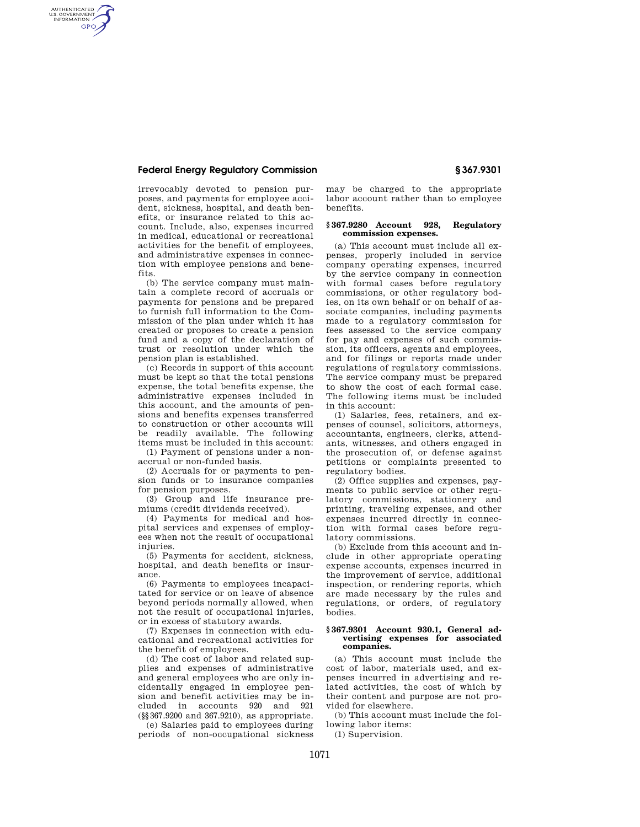## **Federal Energy Regulatory Commission § 367.9301**

AUTHENTICATED<br>U.S. GOVERNMENT<br>INFORMATION **GPO** 

> irrevocably devoted to pension purposes, and payments for employee accident, sickness, hospital, and death benefits, or insurance related to this account. Include, also, expenses incurred in medical, educational or recreational activities for the benefit of employees, and administrative expenses in connection with employee pensions and benefits.

> (b) The service company must maintain a complete record of accruals or payments for pensions and be prepared to furnish full information to the Commission of the plan under which it has created or proposes to create a pension fund and a copy of the declaration of trust or resolution under which the pension plan is established.

> (c) Records in support of this account must be kept so that the total pensions expense, the total benefits expense, the administrative expenses included in this account, and the amounts of pensions and benefits expenses transferred to construction or other accounts will be readily available. The following items must be included in this account:

(1) Payment of pensions under a nonaccrual or non-funded basis.

(2) Accruals for or payments to pension funds or to insurance companies for pension purposes.

(3) Group and life insurance premiums (credit dividends received).

(4) Payments for medical and hospital services and expenses of employees when not the result of occupational injuries

(5) Payments for accident, sickness, hospital, and death benefits or insurance.

(6) Payments to employees incapacitated for service or on leave of absence beyond periods normally allowed, when not the result of occupational injuries, or in excess of statutory awards.

(7) Expenses in connection with educational and recreational activities for the benefit of employees.

(d) The cost of labor and related supplies and expenses of administrative and general employees who are only incidentally engaged in employee pension and benefit activities may be included in accounts 920 and 921 (§§367.9200 and 367.9210), as appropriate.

(e) Salaries paid to employees during periods of non-occupational sickness may be charged to the appropriate labor account rather than to employee benefits.

### **§ 367.9280 Account 928, Regulatory commission expenses.**

(a) This account must include all expenses, properly included in service company operating expenses, incurred by the service company in connection with formal cases before regulatory commissions, or other regulatory bodies, on its own behalf or on behalf of associate companies, including payments made to a regulatory commission for fees assessed to the service company for pay and expenses of such commission, its officers, agents and employees, and for filings or reports made under regulations of regulatory commissions. The service company must be prepared to show the cost of each formal case. The following items must be included in this account:

(1) Salaries, fees, retainers, and expenses of counsel, solicitors, attorneys, accountants, engineers, clerks, attendants, witnesses, and others engaged in the prosecution of, or defense against petitions or complaints presented to regulatory bodies.

(2) Office supplies and expenses, payments to public service or other regulatory commissions, stationery and printing, traveling expenses, and other expenses incurred directly in connection with formal cases before regulatory commissions.

(b) Exclude from this account and include in other appropriate operating expense accounts, expenses incurred in the improvement of service, additional inspection, or rendering reports, which are made necessary by the rules and regulations, or orders, of regulatory bodies.

### **§ 367.9301 Account 930.1, General advertising expenses for associated companies.**

(a) This account must include the cost of labor, materials used, and expenses incurred in advertising and related activities, the cost of which by their content and purpose are not provided for elsewhere.

(b) This account must include the following labor items:

(1) Supervision.